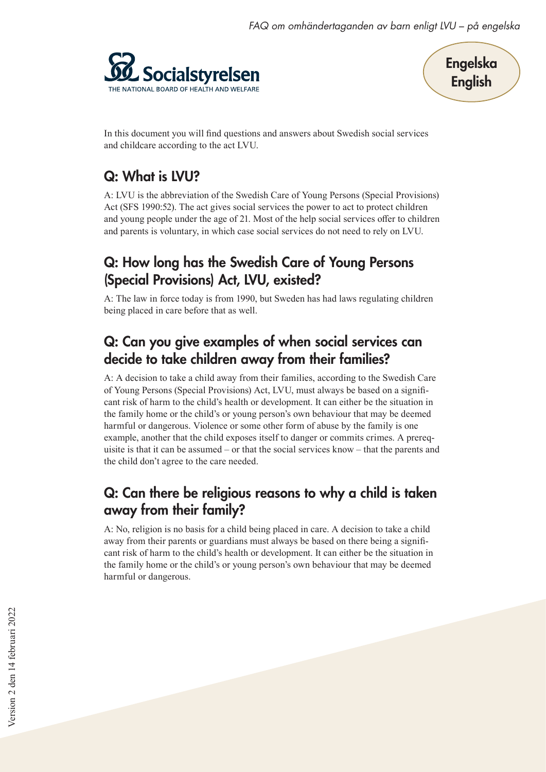



In this document you will find questions and answers about Swedish social services and childcare according to the act LVU.

# Q: What is LVU?

A: LVU is the abbreviation of the Swedish Care of Young Persons (Special Provisions) Act (SFS 1990:52). The act gives social services the power to act to protect children and young people under the age of 21. Most of the help social services offer to children and parents is voluntary, in which case social services do not need to rely on LVU.

## Q: How long has the Swedish Care of Young Persons (Special Provisions) Act, LVU, existed?

A: The law in force today is from 1990, but Sweden has had laws regulating children being placed in care before that as well.

## Q: Can you give examples of when social services can decide to take children away from their families?

A: A decision to take a child away from their families, according to the Swedish Care of Young Persons (Special Provisions) Act, LVU, must always be based on a significant risk of harm to the child's health or development. It can either be the situation in the family home or the child's or young person's own behaviour that may be deemed harmful or dangerous. Violence or some other form of abuse by the family is one example, another that the child exposes itself to danger or commits crimes. A prerequisite is that it can be assumed – or that the social services know – that the parents and the child don't agree to the care needed.

### Q: Can there be religious reasons to why a child is taken away from their family?

A: No, religion is no basis for a child being placed in care. A decision to take a child away from their parents or guardians must always be based on there being a significant risk of harm to the child's health or development. It can either be the situation in the family home or the child's or young person's own behaviour that may be deemed harmful or dangerous.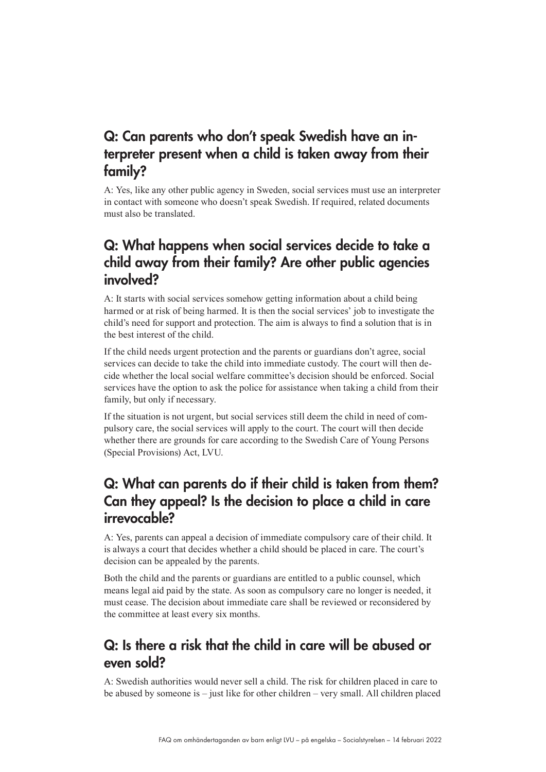### Q: Can parents who don't speak Swedish have an interpreter present when a child is taken away from their family?

A: Yes, like any other public agency in Sweden, social services must use an interpreter in contact with someone who doesn't speak Swedish. If required, related documents must also be translated.

### Q: What happens when social services decide to take a child away from their family? Are other public agencies involved?

A: It starts with social services somehow getting information about a child being harmed or at risk of being harmed. It is then the social services' job to investigate the child's need for support and protection. The aim is always to find a solution that is in the best interest of the child.

If the child needs urgent protection and the parents or guardians don't agree, social services can decide to take the child into immediate custody. The court will then decide whether the local social welfare committee's decision should be enforced. Social services have the option to ask the police for assistance when taking a child from their family, but only if necessary.

If the situation is not urgent, but social services still deem the child in need of compulsory care, the social services will apply to the court. The court will then decide whether there are grounds for care according to the Swedish Care of Young Persons (Special Provisions) Act, LVU.

### Q: What can parents do if their child is taken from them? Can they appeal? Is the decision to place a child in care irrevocable?

A: Yes, parents can appeal a decision of immediate compulsory care of their child. It is always a court that decides whether a child should be placed in care. The court's decision can be appealed by the parents.

Both the child and the parents or guardians are entitled to a public counsel, which means legal aid paid by the state. As soon as compulsory care no longer is needed, it must cease. The decision about immediate care shall be reviewed or reconsidered by the committee at least every six months.

### Q: Is there a risk that the child in care will be abused or even sold?

A: Swedish authorities would never sell a child. The risk for children placed in care to be abused by someone is – just like for other children – very small. All children placed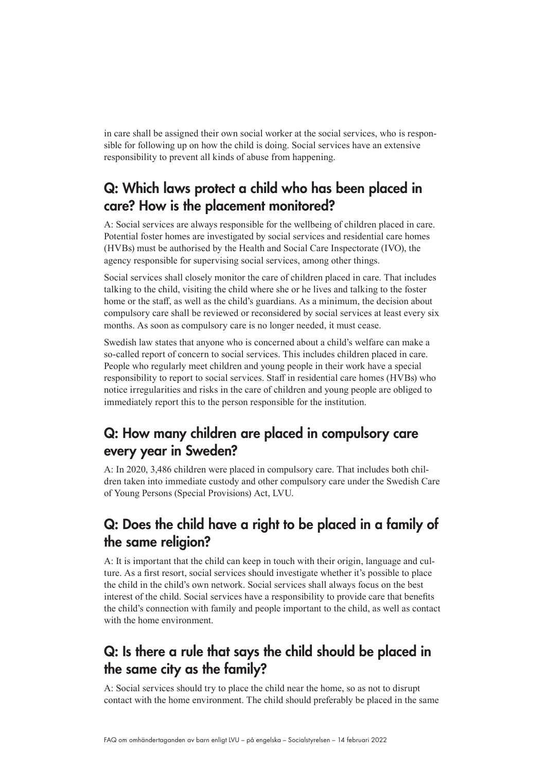in care shall be assigned their own social worker at the social services, who is responsible for following up on how the child is doing. Social services have an extensive responsibility to prevent all kinds of abuse from happening.

### Q: Which laws protect a child who has been placed in care? How is the placement monitored?

A: Social services are always responsible for the wellbeing of children placed in care. Potential foster homes are investigated by social services and residential care homes (HVBs) must be authorised by the Health and Social Care Inspectorate (IVO), the agency responsible for supervising social services, among other things.

Social services shall closely monitor the care of children placed in care. That includes talking to the child, visiting the child where she or he lives and talking to the foster home or the staff, as well as the child's guardians. As a minimum, the decision about compulsory care shall be reviewed or reconsidered by social services at least every six months. As soon as compulsory care is no longer needed, it must cease.

Swedish law states that anyone who is concerned about a child's welfare can make a so-called report of concern to social services. This includes children placed in care. People who regularly meet children and young people in their work have a special responsibility to report to social services. Staff in residential care homes (HVBs) who notice irregularities and risks in the care of children and young people are obliged to immediately report this to the person responsible for the institution.

### Q: How many children are placed in compulsory care every year in Sweden?

A: In 2020, 3,486 children were placed in compulsory care. That includes both children taken into immediate custody and other compulsory care under the Swedish Care of Young Persons (Special Provisions) Act, LVU.

### Q: Does the child have a right to be placed in a family of the same religion?

A: It is important that the child can keep in touch with their origin, language and culture. As a first resort, social services should investigate whether it's possible to place the child in the child's own network. Social services shall always focus on the best interest of the child. Social services have a responsibility to provide care that benefits the child's connection with family and people important to the child, as well as contact with the home environment.

### Q: Is there a rule that says the child should be placed in the same city as the family?

A: Social services should try to place the child near the home, so as not to disrupt contact with the home environment. The child should preferably be placed in the same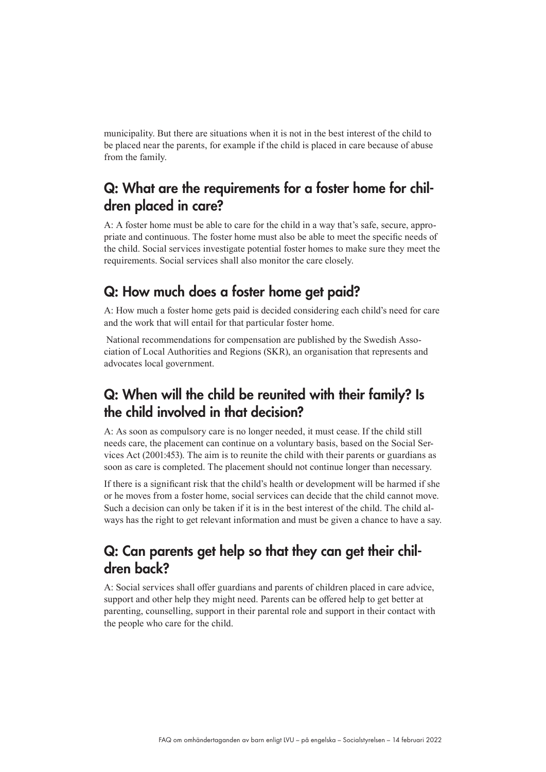municipality. But there are situations when it is not in the best interest of the child to be placed near the parents, for example if the child is placed in care because of abuse from the family.

### Q: What are the requirements for a foster home for children placed in care?

A: A foster home must be able to care for the child in a way that's safe, secure, appropriate and continuous. The foster home must also be able to meet the specific needs of the child. Social services investigate potential foster homes to make sure they meet the requirements. Social services shall also monitor the care closely.

### Q: How much does a foster home get paid?

A: How much a foster home gets paid is decided considering each child's need for care and the work that will entail for that particular foster home.

 National recommendations for compensation are published by the Swedish Association of Local Authorities and Regions (SKR), an organisation that represents and advocates local government.

### Q: When will the child be reunited with their family? Is the child involved in that decision?

A: As soon as compulsory care is no longer needed, it must cease. If the child still needs care, the placement can continue on a voluntary basis, based on the Social Services Act (2001:453). The aim is to reunite the child with their parents or guardians as soon as care is completed. The placement should not continue longer than necessary.

If there is a significant risk that the child's health or development will be harmed if she or he moves from a foster home, social services can decide that the child cannot move. Such a decision can only be taken if it is in the best interest of the child. The child always has the right to get relevant information and must be given a chance to have a say.

### Q: Can parents get help so that they can get their children back?

A: Social services shall offer guardians and parents of children placed in care advice, support and other help they might need. Parents can be offered help to get better at parenting, counselling, support in their parental role and support in their contact with the people who care for the child.